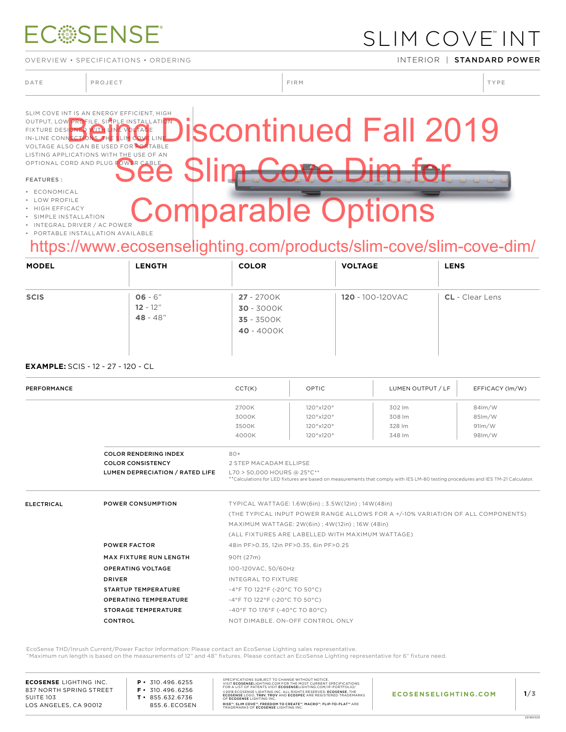# **ECSSENSE**

OVERVIEW • SPECIFICATIONS • ORDERING INTERIOR INTERIOR | STANDARD POWER

### SLIM COVE™ INT

DATE PROJECT PROJECT PRODUCT PROJECT PRODUCT PRODUCT PRODUCT PRODUCT PRODUCT PRODUCT PRODUCT PRODUCT PRODUCT PRODUCT PRODUCT PRODUCT PRODUCT PRODUCT PRODUCT PRODUCT PRODUCT PRODUCT PRODUCT PRODUCT PRODUCT PRODUCT PRODUCT P

#### SLIM COVE INT IS AN ENERGY EFFICIENT, HIGH OUTPUT, LOW PROFILE, SIMPLE INSTALLATION FIXTURE DESIGNED WITH LINE VOLTAGE IN-LINE CONNECTIONS. THE SLIM COVE LINE VOLTAGE ALSO CAN BE USED FOR PORTABLE LISTING APPLICATIONS WITH THE USE OF AN OPTIONAL CORD AND PLUG POWER CABLE. FEATURES : • ECONOMICAL scontinued Fall 2019 See Slim Cove Dim for parable Options

- LOW PROFILE
- HIGH EFFICACY
- SIMPLE INSTALLATION
- INTEGRAL DRIVER / AC POWER
- PORTABLE INSTALLATION AVAILABLE

### https://www.ecosenselighting.com/products/slim-cove/slim-cove-dim/

| <b>MODEL</b>         | <b>LENGTH</b>           | <b>COLOR</b>             | <b>VOLTAGE</b>           | <b>LENS</b>              |
|----------------------|-------------------------|--------------------------|--------------------------|--------------------------|
| $\blacktriangledown$ |                         |                          | $\overline{\phantom{0}}$ | $\overline{\phantom{a}}$ |
| <b>SCIS</b>          | $06 - 6"$<br>$12 - 12"$ | 27 - 2700K               | <b>120 - 100-120VAC</b>  | <b>CL</b> - Clear Lens   |
|                      | $48 - 48"$              | 30 - 3000K<br>35 - 3500K |                          |                          |
|                      |                         | 40 - 4000K               |                          |                          |
|                      |                         |                          |                          |                          |

#### **EXAMPLE:** SCIS - 12 - 27 - 120 - CL

| PERFORMANCE       |                                 | CCT(K)                                                                    | OPTIC                                                                                                                                                            | LUMEN OUTPUT / LF                                                               | EFFICACY (Im/W) |  |  |  |
|-------------------|---------------------------------|---------------------------------------------------------------------------|------------------------------------------------------------------------------------------------------------------------------------------------------------------|---------------------------------------------------------------------------------|-----------------|--|--|--|
|                   |                                 | 2700K                                                                     | 120°x120°                                                                                                                                                        | 302 lm                                                                          | $84$ m/W        |  |  |  |
|                   |                                 | 3000K                                                                     | 120°x120°                                                                                                                                                        | 308 lm                                                                          | 85lm/W          |  |  |  |
|                   |                                 | 3500K                                                                     | 120°x120°                                                                                                                                                        | 328 lm                                                                          | 91/m/W          |  |  |  |
|                   |                                 | 4000K                                                                     | 120°x120°                                                                                                                                                        | 348 lm                                                                          | 98lm/W          |  |  |  |
|                   | <b>COLOR RENDERING INDEX</b>    | $80+$                                                                     |                                                                                                                                                                  |                                                                                 |                 |  |  |  |
|                   | <b>COLOR CONSISTENCY</b>        | 2 STEP MACADAM ELLIPSE                                                    |                                                                                                                                                                  |                                                                                 |                 |  |  |  |
|                   | LUMEN DEPRECIATION / RATED LIFE |                                                                           | L70 > 50,000 HOURS @ 25°C**<br>**Calculations for LED fixtures are based on measurements that comply with IES LM-80 testing procedures and IES TM-21 Calculator. |                                                                                 |                 |  |  |  |
| <b>ELECTRICAL</b> | <b>POWER CONSUMPTION</b>        | TYPICAL WATTAGE: 1.6W(6in) ; 3.5W(12in) ; 14W(48in)                       |                                                                                                                                                                  |                                                                                 |                 |  |  |  |
|                   |                                 |                                                                           |                                                                                                                                                                  | (THE TYPICAL INPUT POWER RANGE ALLOWS FOR A +/-10% VARIATION OF ALL COMPONENTS) |                 |  |  |  |
|                   |                                 | MAXIMUM WATTAGE: 2W(6in) ; 4W(12in) ; 16W (48in)                          |                                                                                                                                                                  |                                                                                 |                 |  |  |  |
|                   |                                 | (ALL FIXTURES ARE LABELLED WITH MAXIMUM WATTAGE)                          |                                                                                                                                                                  |                                                                                 |                 |  |  |  |
|                   | <b>POWER FACTOR</b>             | 48in PF>0.35, 12in PF>0.35, 6in PF>0.25                                   |                                                                                                                                                                  |                                                                                 |                 |  |  |  |
|                   | <b>MAX FIXTURE RUN LENGTH</b>   | 90ft (27m)                                                                |                                                                                                                                                                  |                                                                                 |                 |  |  |  |
|                   | <b>OPERATING VOLTAGE</b>        | 100-120VAC, 50/60Hz                                                       |                                                                                                                                                                  |                                                                                 |                 |  |  |  |
|                   | <b>DRIVER</b>                   | INTEGRAL TO FIXTURE                                                       |                                                                                                                                                                  |                                                                                 |                 |  |  |  |
|                   | <b>STARTUP TEMPERATURE</b>      | $-4^{\circ}$ F TO 122 $^{\circ}$ F (-20 $^{\circ}$ C TO 50 $^{\circ}$ C)  |                                                                                                                                                                  |                                                                                 |                 |  |  |  |
|                   | <b>OPERATING TEMPERATURE</b>    | $-4^{\circ}$ F TO 122 $^{\circ}$ F (-20 $^{\circ}$ C TO 50 $^{\circ}$ C)  |                                                                                                                                                                  |                                                                                 |                 |  |  |  |
|                   | <b>STORAGE TEMPERATURE</b>      | $-40^{\circ}$ F TO 176 $^{\circ}$ F (-40 $^{\circ}$ C TO 80 $^{\circ}$ C) |                                                                                                                                                                  |                                                                                 |                 |  |  |  |
|                   | <b>CONTROL</b>                  |                                                                           | NOT DIMABLE, ON-OFF CONTROL ONLY                                                                                                                                 |                                                                                 |                 |  |  |  |

EcoSense THD/Inrush Current/Power Factor Information: Please contact an EcoSense Lighting sales representative.

^Maximum run length is based on the measurements of 12" and 48" fixtures. Please contact an EcoSense Lighting representative for 6" fixture need.

**ECOSENSE** LIGHTING INC. 837 NORTH SPRING STREET SUITE 103 LOS ANGELES, CA 90012

**P •** 310.496.6255 **F •** 310.496.6256 **T •** 855.632.6736 855.6.ECOSEN SPECIFICATIONS SUBJECT TO CHANGE WITHOUT NOTICE.<br>VISIT **ECOSENSE**LIGHTING.COM FOR THE MOST CURRENT SPECIFICATIONS.<br>FOR A LIST OF PATENTS VISIT **ECOSENSE**LIGHTING.COM/IP-PORTFOLIO/ ©2018 ECOSENSE LIGHTING INC. ALL RIGHTS RESERVED. **ECOSENSE**, THE<br>**ECOSENSE** LOGO, **TROV, TROV** AND **ECOSPEC** ARE REGISTERED TRADEMARKS<br>OF **ECOSENSE** LIGHTING INC. RISE™, SLIM COVE™, FREEDOM TO CREATE™, MACRO™, FLIP-TO-FLAT™ ARE<br>TRADEMARKS OF **ECOSENSE** LIGHTING INC.

20180320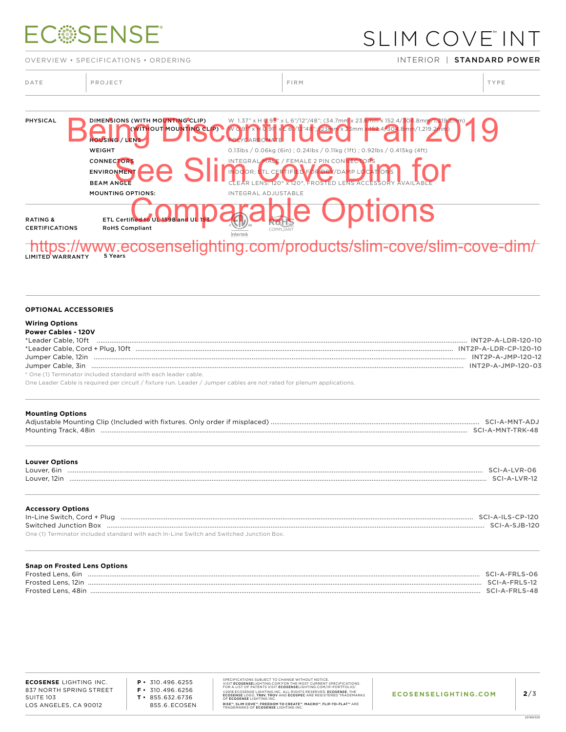# **ECSSENSE**

OVERVIEW • SPECIFICATIONS • ORDERING INTERIOR INTERIOR | STANDARD POWER

SLIM COVE™ INT

| DATE | PROJECT | FIRM | TYPE |
|------|---------|------|------|
|      |         |      |      |

 $\begin{array}{c} \hline \end{array}$ 



#### **OPTIONAL ACCESSORIES**

| <b>Wiring Options</b> |  |  |  |  |
|-----------------------|--|--|--|--|
|                       |  |  |  |  |

| <b>Power Cables - 120V</b>                                    |                       |
|---------------------------------------------------------------|-----------------------|
| *Leader Cable, 10ft                                           | INT2P-A-LDR-120-10    |
|                                                               | INT2P-A-LDR-CP-120-10 |
|                                                               | INT2P-A-JMP-120-12    |
|                                                               |                       |
| * One (1) Terminater included standard with cash leader cable |                       |

\* One (1) Terminator included standard with each leader cable.

One Leader Cable is required per circuit / fixture run. Leader / Jumper cables are not rated for plenum applications.

| <b>Mounting Options</b>                                                                                                                                                                                                                                    |                 |
|------------------------------------------------------------------------------------------------------------------------------------------------------------------------------------------------------------------------------------------------------------|-----------------|
| <b>Louver Options</b><br>$\frac{1}{2}$ . The contract of the contract of the contract of the contract of the contract of the contract of the contract of the contract of the contract of the contract of the contract of the contract of the contract of t | SCI-A-LVR-12    |
| <b>Accessory Options</b><br>$\ddot{\theta}$ is expressed unction Box.<br>One (1) Terminator included standard with each In-Line Switch and Switched Junction Box.                                                                                          | $SCI-A-SJB-120$ |

| <b>Snap on Frosted Lens Options</b> |                             |
|-------------------------------------|-----------------------------|
| Frosted Lens, 6in                   | SCI-A-FRLS-06               |
| Frosted Lens, 12in                  | $SCI - \Delta - EDI S - 12$ |
| Frosted Lens. 48in                  | $SCI-4-FRI S-48$            |

**P •** 310.496.6255 **F •** 310.496.6256 **T •** 855.632.6736 855.6.ECOSEN SPECIFICATIONS SUBJECT TO CHANGE WITHOUT NOTICE.<br>VISIT **ECOSENSE**LIGHTING.COM FOR THE MOST CURRENT SPECIFICATIONS.<br>FOR A LIST OF PATENTS VISIT **ECOSENSE**LIGHTING.COM/IP-PORTFOLIO/ ©2018 ECOSENSE LIGHTING INC. ALL RIGHTS RESERVED. **ECOSENSE**, THE<br>**ECOSENSE** LOGO, **TROV, TROV** AND **ECOSPEC** ARE REGISTERED TRADEMARKS<br>OF **ECOSENSE** LIGHTING INC. RISE™, SLIM COVE™, FREEDOM TO CREATE™, MACRO™, FLIP-TO-FLAT™ ARE<br>TRADEMARKS OF **ECOSENSE** LIGHTING INC.

20180320